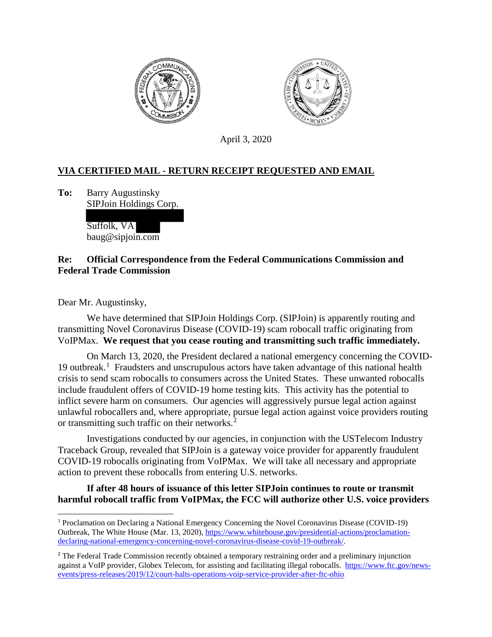



April 3, 2020

## **VIA CERTIFIED MAIL - RETURN RECEIPT REQUESTED AND EMAIL**

**To:** Barry Augustinsky SIPJoin Holdings Corp.

> Suffolk, VA baug@sipjoin.com

## **Re: Official Correspondence from the Federal Communications Commission and Federal Trade Commission**

Dear Mr. Augustinsky,

We have determined that SIPJoin Holdings Corp. (SIPJoin) is apparently routing and transmitting Novel Coronavirus Disease (COVID-19) scam robocall traffic originating from VoIPMax. **We request that you cease routing and transmitting such traffic immediately.**

On March 13, 2020, the President declared a national emergency concerning the COVID-[1](#page-0-0)9 outbreak.<sup>1</sup> Fraudsters and unscrupulous actors have taken advantage of this national health crisis to send scam robocalls to consumers across the United States. These unwanted robocalls include fraudulent offers of COVID-19 home testing kits. This activity has the potential to inflict severe harm on consumers. Our agencies will aggressively pursue legal action against unlawful robocallers and, where appropriate, pursue legal action against voice providers routing or transmitting such traffic on their networks.<sup>[2](#page-0-1)</sup>

Investigations conducted by our agencies, in conjunction with the USTelecom Industry Traceback Group, revealed that SIPJoin is a gateway voice provider for apparently fraudulent COVID-19 robocalls originating from VoIPMax. We will take all necessary and appropriate action to prevent these robocalls from entering U.S. networks.

## **If after 48 hours of issuance of this letter SIPJoin continues to route or transmit harmful robocall traffic from VoIPMax, the FCC will authorize other U.S. voice providers**

<span id="page-0-0"></span><sup>1</sup> Proclamation on Declaring a National Emergency Concerning the Novel Coronavirus Disease (COVID-19) Outbreak, The White House (Mar. 13, 2020)[, https://www.whitehouse.gov/presidential-actions/proclamation](https://www.whitehouse.gov/presidential-actions/proclamation-declaring-national-emergency-concerning-novel-coronavirus-disease-covid-19-outbreak/)[declaring-national-emergency-concerning-novel-coronavirus-disease-covid-19-outbreak/.](https://www.whitehouse.gov/presidential-actions/proclamation-declaring-national-emergency-concerning-novel-coronavirus-disease-covid-19-outbreak/)

<span id="page-0-1"></span><sup>&</sup>lt;sup>2</sup> The Federal Trade Commission recently obtained a temporary restraining order and a preliminary injunction against a VoIP provider, Globex Telecom, for assisting and facilitating illegal robocalls. [https://www.ftc.gov/news](https://www.ftc.gov/news-events/press-releases/2019/12/court-halts-operations-voip-service-provider-after-ftc-ohio)[events/press-releases/2019/12/court-halts-operations-voip-service-provider-after-ftc-ohio](https://www.ftc.gov/news-events/press-releases/2019/12/court-halts-operations-voip-service-provider-after-ftc-ohio)